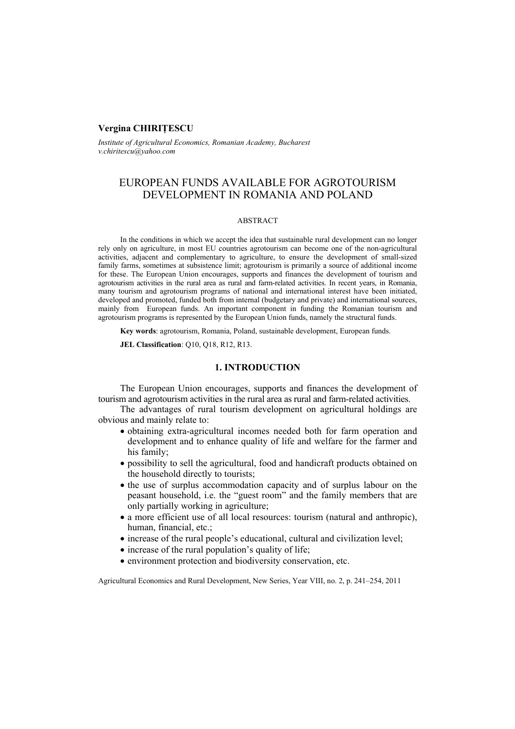### **Vergina CHIRIŢESCU**

*Institute of Agricultural Economics, Romanian Academy, Bucharest v.chiritescu@yahoo.com*

# EUROPEAN FUNDS AVAILABLE FOR AGROTOURISM DEVELOPMENT IN ROMANIA AND POLAND

#### ABSTRACT

In the conditions in which we accept the idea that sustainable rural development can no longer rely only on agriculture, in most EU countries agrotourism can become one of the non-agricultural activities, adjacent and complementary to agriculture, to ensure the development of small-sized family farms, sometimes at subsistence limit; agrotourism is primarily a source of additional income for these. The European Union encourages, supports and finances the development of tourism and agrotourism activities in the rural area as rural and farm-related activities. In recent years, in Romania, many tourism and agrotourism programs of national and international interest have been initiated, developed and promoted, funded both from internal (budgetary and private) and international sources, mainly from European funds. An important component in funding the Romanian tourism and agrotourism programs is represented by the European Union funds, namely the structural funds.

**Key words**: agrotourism, Romania, Poland, sustainable development, European funds.

**JEL Classification**: Q10, Q18, R12, R13.

## **1. INTRODUCTION**

The European Union encourages, supports and finances the development of tourism and agrotourism activities in the rural area as rural and farm-related activities.

The advantages of rural tourism development on agricultural holdings are obvious and mainly relate to:

- obtaining extra-agricultural incomes needed both for farm operation and development and to enhance quality of life and welfare for the farmer and his family;
- possibility to sell the agricultural, food and handicraft products obtained on the household directly to tourists;
- the use of surplus accommodation capacity and of surplus labour on the peasant household, i.e. the "guest room" and the family members that are only partially working in agriculture;
- a more efficient use of all local resources: tourism (natural and anthropic), human, financial, etc.;
- increase of the rural people's educational, cultural and civilization level;
- increase of the rural population's quality of life;
- environment protection and biodiversity conservation, etc.

Agricultural Economics and Rural Development, New Series, Year VIII, no. 2, p. 241–254, 2011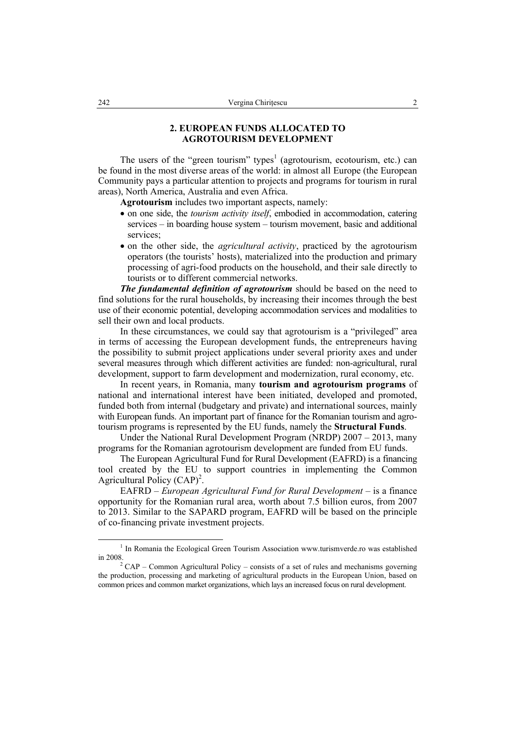## **2. EUROPEAN FUNDS ALLOCATED TO AGROTOURISM DEVELOPMENT**

The users of the "green tourism" types<sup>1</sup> (agrotourism, ecotourism, etc.) can be found in the most diverse areas of the world: in almost all Europe (the European Community pays a particular attention to projects and programs for tourism in rural areas), North America, Australia and even Africa.

**Agrotourism** includes two important aspects, namely:

- on one side, the *tourism activity itself*, embodied in accommodation, catering services – in boarding house system – tourism movement, basic and additional services;
- on the other side, the *agricultural activity*, practiced by the agrotourism operators (the tourists' hosts), materialized into the production and primary processing of agri-food products on the household, and their sale directly to tourists or to different commercial networks.

*The fundamental definition of agrotourism* should be based on the need to find solutions for the rural households, by increasing their incomes through the best use of their economic potential, developing accommodation services and modalities to sell their own and local products.

In these circumstances, we could say that agrotourism is a "privileged" area in terms of accessing the European development funds, the entrepreneurs having the possibility to submit project applications under several priority axes and under several measures through which different activities are funded: non-agricultural, rural development, support to farm development and modernization, rural economy, etc.

In recent years, in Romania, many **tourism and agrotourism programs** of national and international interest have been initiated, developed and promoted, funded both from internal (budgetary and private) and international sources, mainly with European funds. An important part of finance for the Romanian tourism and agrotourism programs is represented by the EU funds, namely the **Structural Funds**.

Under the National Rural Development Program (NRDP) 2007 – 2013, many programs for the Romanian agrotourism development are funded from EU funds.

The European Agricultural Fund for Rural Development (EAFRD) is a financing tool created by the EU to support countries in implementing the Common Agricultural Policy  $(CAP)^2$ .

EAFRD – *European Agricultural Fund for Rural Development* – is a finance opportunity for the Romanian rural area, worth about 7.5 billion euros, from 2007 to 2013. Similar to the SAPARD program, EAFRD will be based on the principle of co-financing private investment projects.

 $\frac{1}{1}$  $1$  In Romania the Ecological Green Tourism Association www.turismverde.ro was established in 2008

 $2^2$  CAP – Common Agricultural Policy – consists of a set of rules and mechanisms governing the production, processing and marketing of agricultural products in the European Union, based on common prices and common market organizations, which lays an increased focus on rural development.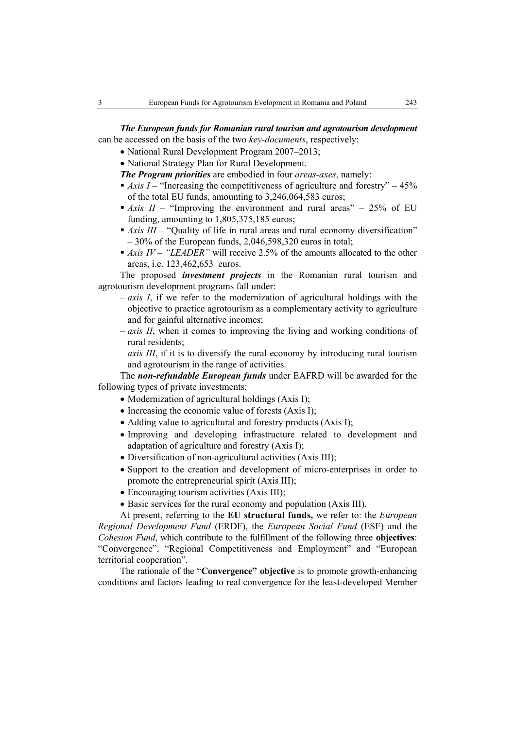*The European funds for Romanian rural tourism and agrotourism development* can be accessed on the basis of the two *key-documents*, respectively:

- National Rural Development Program 2007–2013;
- National Strategy Plan for Rural Development.

*The Program priorities* are embodied in four *areas-axes*, namely:

- $\blacksquare$  *Axis I* "Increasing the competitiveness of agriculture and forestry" 45% of the total EU funds, amounting to 3,246,064,583 euros;
- $\blacksquare$  *Axis II* "Improving the environment and rural areas" 25% of EU funding, amounting to 1,805,375,185 euros;
- *Axis III* "Quality of life in rural areas and rural economy diversification" – 30% of the European funds, 2,046,598,320 euros in total;
- *Axis IV* "*LEADER*" will receive 2.5% of the amounts allocated to the other areas, i.e. 123,462,653 euros.

The proposed *investment projects* in the Romanian rural tourism and agrotourism development programs fall under:

- *axis I*, if we refer to the modernization of agricultural holdings with the objective to practice agrotourism as a complementary activity to agriculture and for gainful alternative incomes;
- *axis II*, when it comes to improving the living and working conditions of rural residents;
- *axis III*, if it is to diversify the rural economy by introducing rural tourism and agrotourism in the range of activities.

The *non-refundable European funds* under EAFRD will be awarded for the following types of private investments:

- Modernization of agricultural holdings (Axis I);
- Increasing the economic value of forests (Axis I):
- Adding value to agricultural and forestry products (Axis I);
- Improving and developing infrastructure related to development and adaptation of agriculture and forestry (Axis I);
- Diversification of non-agricultural activities (Axis III);
- Support to the creation and development of micro-enterprises in order to promote the entrepreneurial spirit (Axis III);
- Encouraging tourism activities (Axis III);
- Basic services for the rural economy and population (Axis III).

At present, referring to the **EU structural funds,** we refer to: the *European Regional Development Fund* (ERDF), the *European Social Fund* (ESF) and the *Cohesion Fund*, which contribute to the fulfillment of the following three **objectives**: "Convergence", "Regional Competitiveness and Employment" and "European territorial cooperation".

The rationale of the "**Convergence" objective** is to promote growth-enhancing conditions and factors leading to real convergence for the least-developed Member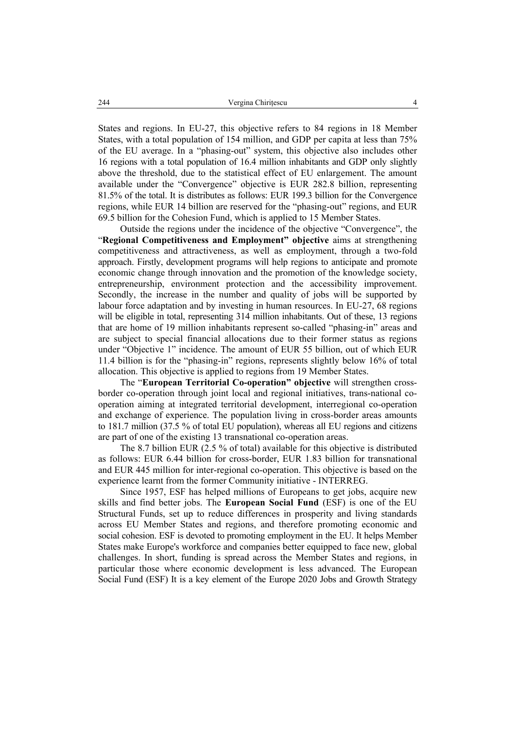States and regions. In EU-27, this objective refers to 84 regions in 18 Member States, with a total population of 154 million, and GDP per capita at less than 75% of the EU average. In a "phasing-out" system, this objective also includes other 16 regions with a total population of 16.4 million inhabitants and GDP only slightly above the threshold, due to the statistical effect of EU enlargement. The amount available under the "Convergence" objective is EUR 282.8 billion, representing 81.5% of the total. It is distributes as follows: EUR 199.3 billion for the Convergence regions, while EUR 14 billion are reserved for the "phasing-out" regions, and EUR 69.5 billion for the Cohesion Fund, which is applied to 15 Member States.

Outside the regions under the incidence of the objective "Convergence", the "**Regional Competitiveness and Employment" objective** aims at strengthening competitiveness and attractiveness, as well as employment, through a two-fold approach. Firstly, development programs will help regions to anticipate and promote economic change through innovation and the promotion of the knowledge society, entrepreneurship, environment protection and the accessibility improvement. Secondly, the increase in the number and quality of jobs will be supported by labour force adaptation and by investing in human resources. In EU-27, 68 regions will be eligible in total, representing 314 million inhabitants. Out of these, 13 regions that are home of 19 million inhabitants represent so-called "phasing-in" areas and are subject to special financial allocations due to their former status as regions under "Objective 1" incidence. The amount of EUR 55 billion, out of which EUR 11.4 billion is for the "phasing-in" regions, represents slightly below 16% of total allocation. This objective is applied to regions from 19 Member States.

The "**European Territorial Co-operation" objective** will strengthen crossborder co-operation through joint local and regional initiatives, trans-national cooperation aiming at integrated territorial development, interregional co-operation and exchange of experience. The population living in cross-border areas amounts to 181.7 million (37.5 % of total EU population), whereas all EU regions and citizens are part of one of the existing 13 transnational co-operation areas.

The 8.7 billion EUR (2.5 % of total) available for this objective is distributed as follows: EUR 6.44 billion for cross-border, EUR 1.83 billion for transnational and EUR 445 million for inter-regional co-operation. This objective is based on the experience learnt from the former Community initiative - INTERREG.

Since 1957, ESF has helped millions of Europeans to get jobs, acquire new skills and find better jobs. The **European Social Fund** (ESF) is one of the EU Structural Funds, set up to reduce differences in prosperity and living standards across EU Member States and regions, and therefore promoting economic and social cohesion. ESF is devoted to promoting employment in the EU. It helps Member States make Europe's workforce and companies better equipped to face new, global challenges. In short, funding is spread across the Member States and regions, in particular those where economic development is less advanced. The European Social Fund (ESF) It is a key element of the Europe 2020 Jobs and Growth Strategy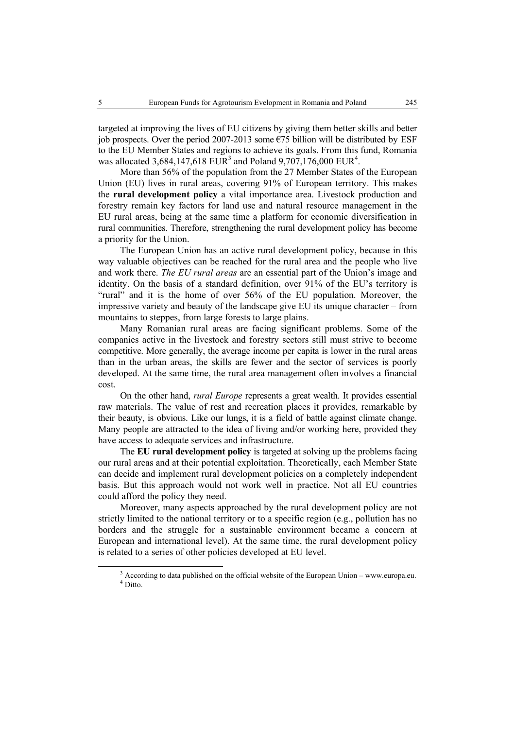targeted at improving the lives of EU citizens by giving them better skills and better job prospects. Over the period 2007-2013 some  $\epsilon$ 75 billion will be distributed by ESF to the EU Member States and regions to achieve its goals. From this fund, Romania was allocated 3,684,147,618 EUR<sup>3</sup> and Poland 9,707,176,000 EUR<sup>4</sup>.

More than 56% of the population from the 27 Member States of the European Union (EU) lives in rural areas, covering 91% of European territory. This makes the **rural development policy** a vital importance area. Livestock production and forestry remain key factors for land use and natural resource management in the EU rural areas, being at the same time a platform for economic diversification in rural communities. Therefore, strengthening the rural development policy has become a priority for the Union.

The European Union has an active rural development policy, because in this way valuable objectives can be reached for the rural area and the people who live and work there. *The EU rural areas* are an essential part of the Union's image and identity. On the basis of a standard definition, over 91% of the EU's territory is "rural" and it is the home of over 56% of the EU population. Moreover, the impressive variety and beauty of the landscape give EU its unique character – from mountains to steppes, from large forests to large plains.

Many Romanian rural areas are facing significant problems. Some of the companies active in the livestock and forestry sectors still must strive to become competitive. More generally, the average income per capita is lower in the rural areas than in the urban areas, the skills are fewer and the sector of services is poorly developed. At the same time, the rural area management often involves a financial cost.

On the other hand, *rural Europe* represents a great wealth. It provides essential raw materials. The value of rest and recreation places it provides, remarkable by their beauty, is obvious. Like our lungs, it is a field of battle against climate change. Many people are attracted to the idea of living and/or working here, provided they have access to adequate services and infrastructure.

The **EU rural development policy** is targeted at solving up the problems facing our rural areas and at their potential exploitation. Theoretically, each Member State can decide and implement rural development policies on a completely independent basis. But this approach would not work well in practice. Not all EU countries could afford the policy they need.

Moreover, many aspects approached by the rural development policy are not strictly limited to the national territory or to a specific region (e.g., pollution has no borders and the struggle for a sustainable environment became a concern at European and international level). At the same time, the rural development policy is related to a series of other policies developed at EU level.

 $\frac{3}{3}$ <sup>3</sup> According to data published on the official website of the European Union – www.europa.eu. <sup>4</sup> Ditto.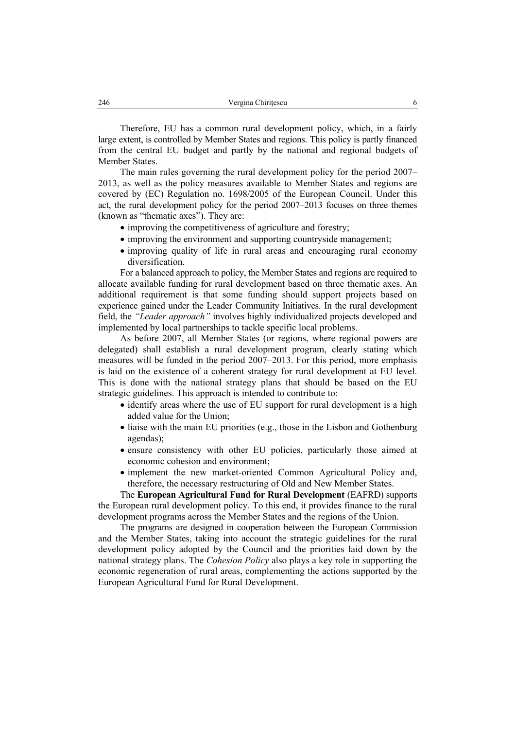Therefore, EU has a common rural development policy, which, in a fairly large extent, is controlled by Member States and regions. This policy is partly financed from the central EU budget and partly by the national and regional budgets of Member States.

The main rules governing the rural development policy for the period 2007– 2013, as well as the policy measures available to Member States and regions are covered by (EC) Regulation no. 1698/2005 of the European Council. Under this act, the rural development policy for the period 2007–2013 focuses on three themes (known as "thematic axes"). They are:

- improving the competitiveness of agriculture and forestry;
- improving the environment and supporting countryside management;
- improving quality of life in rural areas and encouraging rural economy diversification.

For a balanced approach to policy, the Member States and regions are required to allocate available funding for rural development based on three thematic axes. An additional requirement is that some funding should support projects based on experience gained under the Leader Community Initiatives. In the rural development field, the *"Leader approach"* involves highly individualized projects developed and implemented by local partnerships to tackle specific local problems.

As before 2007, all Member States (or regions, where regional powers are delegated) shall establish a rural development program, clearly stating which measures will be funded in the period 2007–2013. For this period, more emphasis is laid on the existence of a coherent strategy for rural development at EU level. This is done with the national strategy plans that should be based on the EU strategic guidelines. This approach is intended to contribute to:

- identify areas where the use of EU support for rural development is a high added value for the Union;
- liaise with the main EU priorities (e.g., those in the Lisbon and Gothenburg agendas);
- ensure consistency with other EU policies, particularly those aimed at economic cohesion and environment;
- implement the new market-oriented Common Agricultural Policy and, therefore, the necessary restructuring of Old and New Member States.

The **European Agricultural Fund for Rural Development** (EAFRD) supports the European rural development policy. To this end, it provides finance to the rural development programs across the Member States and the regions of the Union.

The programs are designed in cooperation between the European Commission and the Member States, taking into account the strategic guidelines for the rural development policy adopted by the Council and the priorities laid down by the national strategy plans. The *Cohesion Policy* also plays a key role in supporting the economic regeneration of rural areas, complementing the actions supported by the European Agricultural Fund for Rural Development.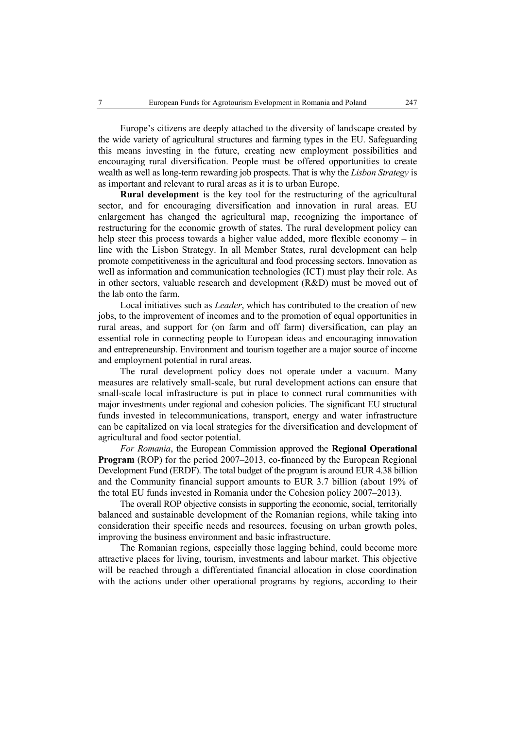Europe's citizens are deeply attached to the diversity of landscape created by the wide variety of agricultural structures and farming types in the EU. Safeguarding this means investing in the future, creating new employment possibilities and encouraging rural diversification. People must be offered opportunities to create wealth as well as long-term rewarding job prospects. That is why the *Lisbon Strategy* is as important and relevant to rural areas as it is to urban Europe.

**Rural development** is the key tool for the restructuring of the agricultural sector, and for encouraging diversification and innovation in rural areas. EU enlargement has changed the agricultural map, recognizing the importance of restructuring for the economic growth of states. The rural development policy can help steer this process towards a higher value added, more flexible economy – in line with the Lisbon Strategy. In all Member States, rural development can help promote competitiveness in the agricultural and food processing sectors. Innovation as well as information and communication technologies (ICT) must play their role. As in other sectors, valuable research and development (R&D) must be moved out of the lab onto the farm.

Local initiatives such as *Leader*, which has contributed to the creation of new jobs, to the improvement of incomes and to the promotion of equal opportunities in rural areas, and support for (on farm and off farm) diversification, can play an essential role in connecting people to European ideas and encouraging innovation and entrepreneurship. Environment and tourism together are a major source of income and employment potential in rural areas.

The rural development policy does not operate under a vacuum. Many measures are relatively small-scale, but rural development actions can ensure that small-scale local infrastructure is put in place to connect rural communities with major investments under regional and cohesion policies. The significant EU structural funds invested in telecommunications, transport, energy and water infrastructure can be capitalized on via local strategies for the diversification and development of agricultural and food sector potential.

*For Romania*, the European Commission approved the **Regional Operational Program** (ROP) for the period 2007–2013, co-financed by the European Regional Development Fund (ERDF). The total budget of the program is around EUR 4.38 billion and the Community financial support amounts to EUR 3.7 billion (about 19% of the total EU funds invested in Romania under the Cohesion policy 2007–2013).

The overall ROP objective consists in supporting the economic, social, territorially balanced and sustainable development of the Romanian regions, while taking into consideration their specific needs and resources, focusing on urban growth poles, improving the business environment and basic infrastructure.

The Romanian regions, especially those lagging behind, could become more attractive places for living, tourism, investments and labour market. This objective will be reached through a differentiated financial allocation in close coordination with the actions under other operational programs by regions, according to their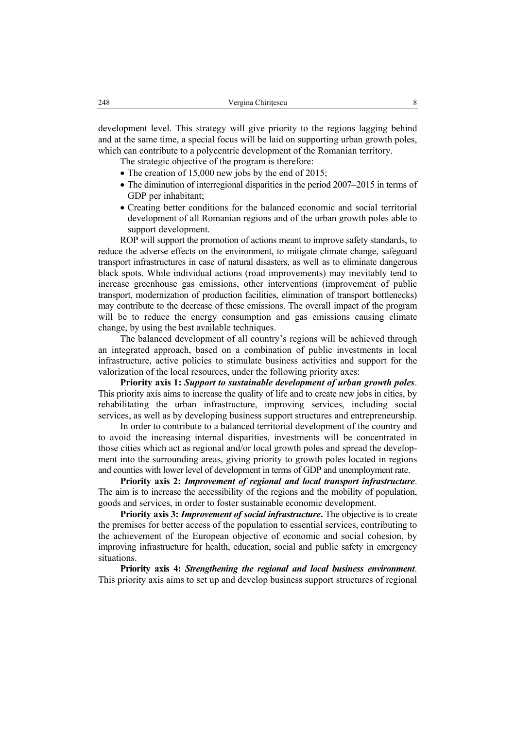development level. This strategy will give priority to the regions lagging behind and at the same time, a special focus will be laid on supporting urban growth poles, which can contribute to a polycentric development of the Romanian territory.

The strategic objective of the program is therefore:

- The creation of 15,000 new jobs by the end of 2015;
- The diminution of interregional disparities in the period 2007–2015 in terms of GDP per inhabitant;
- Creating better conditions for the balanced economic and social territorial development of all Romanian regions and of the urban growth poles able to support development.

ROP will support the promotion of actions meant to improve safety standards, to reduce the adverse effects on the environment, to mitigate climate change, safeguard transport infrastructures in case of natural disasters, as well as to eliminate dangerous black spots. While individual actions (road improvements) may inevitably tend to increase greenhouse gas emissions, other interventions (improvement of public transport, modernization of production facilities, elimination of transport bottlenecks) may contribute to the decrease of these emissions. The overall impact of the program will be to reduce the energy consumption and gas emissions causing climate change, by using the best available techniques.

The balanced development of all country's regions will be achieved through an integrated approach, based on a combination of public investments in local infrastructure, active policies to stimulate business activities and support for the valorization of the local resources, under the following priority axes:

**Priority axis 1:** *Support to sustainable development of urban growth poles*. This priority axis aims to increase the quality of life and to create new jobs in cities, by rehabilitating the urban infrastructure, improving services, including social services, as well as by developing business support structures and entrepreneurship.

In order to contribute to a balanced territorial development of the country and to avoid the increasing internal disparities, investments will be concentrated in those cities which act as regional and/or local growth poles and spread the development into the surrounding areas, giving priority to growth poles located in regions and counties with lower level of development in terms of GDP and unemployment rate.

**Priority axis 2:** *Improvement of regional and local transport infrastructure*. The aim is to increase the accessibility of the regions and the mobility of population, goods and services, in order to foster sustainable economic development.

**Priority axis 3:** *Improvement of social infrastructure***.** The objective is to create the premises for better access of the population to essential services, contributing to the achievement of the European objective of economic and social cohesion, by improving infrastructure for health, education, social and public safety in emergency situations.

**Priority axis 4:** *Strengthening the regional and local business environment*. This priority axis aims to set up and develop business support structures of regional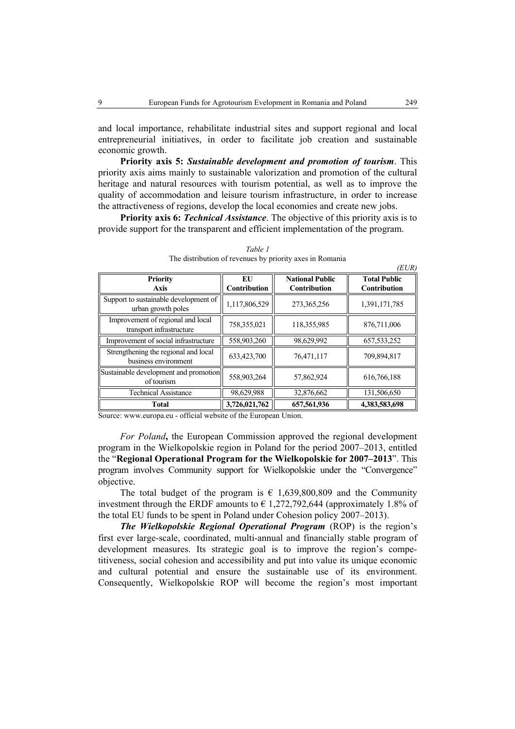and local importance, rehabilitate industrial sites and support regional and local entrepreneurial initiatives, in order to facilitate job creation and sustainable economic growth.

**Priority axis 5:** *Sustainable development and promotion of tourism*. This priority axis aims mainly to sustainable valorization and promotion of the cultural heritage and natural resources with tourism potential, as well as to improve the quality of accommodation and leisure tourism infrastructure, in order to increase the attractiveness of regions, develop the local economies and create new jobs.

**Priority axis 6:** *Technical Assistance*. The objective of this priority axis is to provide support for the transparent and efficient implementation of the program.

| <b>Priority</b><br>Axis                                       | EU<br>Contribution | <b>National Public</b><br>Contribution | <b>Total Public</b><br>Contribution |
|---------------------------------------------------------------|--------------------|----------------------------------------|-------------------------------------|
| Support to sustainable development of<br>urban growth poles   | 1,117,806,529      | 273,365,256                            | 1,391,171,785                       |
| Improvement of regional and local<br>transport infrastructure | 758,355,021        | 118,355,985                            | 876,711,006                         |
| Improvement of social infrastructure                          | 558,903,260        | 98,629,992                             | 657, 533, 252                       |
| Strengthening the regional and local<br>business environment  | 633,423,700        | 76,471,117                             | 709,894,817                         |
| Sustainable development and promotion<br>of tourism           | 558,903,264        | 57,862,924                             | 616,766,188                         |
| <b>Technical Assistance</b>                                   | 98,629,988         | 32,876,662                             | 131,506,650                         |
| <b>Total</b>                                                  | 3,726,021,762      | 657,561,936                            | 4,383,583,698                       |

*Table 1*  The distribution of revenues by priority axes in Romania

Source: www.europa.eu - official website of the European Union.

*For Poland***,** the European Commission approved the regional development program in the Wielkopolskie region in Poland for the period 2007–2013, entitled the "**Regional Operational Program for the Wielkopolskie for 2007–2013**". This program involves Community support for Wielkopolskie under the "Convergence" objective.

The total budget of the program is  $\epsilon$  1,639,800,809 and the Community investment through the ERDF amounts to  $\epsilon$  1,272,792,644 (approximately 1.8% of the total EU funds to be spent in Poland under Cohesion policy 2007–2013).

*The Wielkopolskie Regional Operational Program* (ROP) is the region's first ever large-scale, coordinated, multi-annual and financially stable program of development measures. Its strategic goal is to improve the region's competitiveness, social cohesion and accessibility and put into value its unique economic and cultural potential and ensure the sustainable use of its environment. Consequently, Wielkopolskie ROP will become the region's most important

 $(EU)$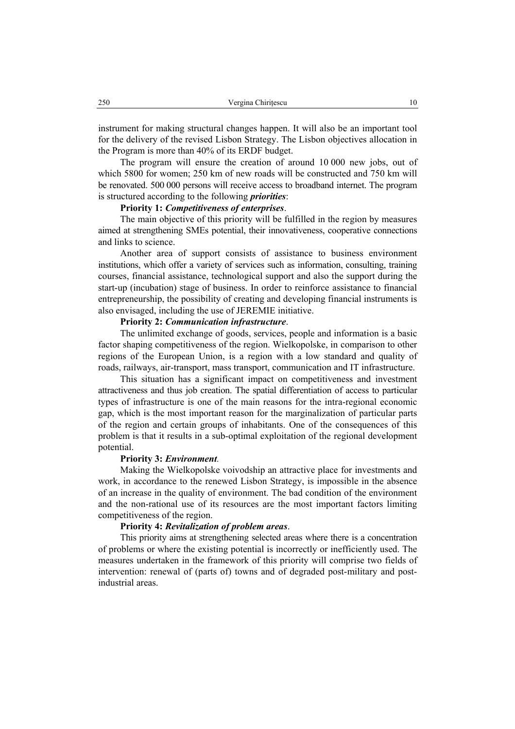instrument for making structural changes happen. It will also be an important tool for the delivery of the revised Lisbon Strategy. The Lisbon objectives allocation in the Program is more than 40% of its ERDF budget.

The program will ensure the creation of around 10 000 new jobs, out of which 5800 for women; 250 km of new roads will be constructed and 750 km will be renovated. 500 000 persons will receive access to broadband internet. The program is structured according to the following *priorities*:

#### **Priority 1:** *Competitiveness of enterprises*.

The main objective of this priority will be fulfilled in the region by measures aimed at strengthening SMEs potential, their innovativeness, cooperative connections and links to science.

Another area of support consists of assistance to business environment institutions, which offer a variety of services such as information, consulting, training courses, financial assistance, technological support and also the support during the start-up (incubation) stage of business. In order to reinforce assistance to financial entrepreneurship, the possibility of creating and developing financial instruments is also envisaged, including the use of JEREMIE initiative.

### **Priority 2:** *Communication infrastructure*.

The unlimited exchange of goods, services, people and information is a basic factor shaping competitiveness of the region. Wielkopolske, in comparison to other regions of the European Union, is a region with a low standard and quality of roads, railways, air-transport, mass transport, communication and IT infrastructure.

This situation has a significant impact on competitiveness and investment attractiveness and thus job creation. The spatial differentiation of access to particular types of infrastructure is one of the main reasons for the intra-regional economic gap, which is the most important reason for the marginalization of particular parts of the region and certain groups of inhabitants. One of the consequences of this problem is that it results in a sub-optimal exploitation of the regional development potential.

### **Priority 3:** *Environment.*

Making the Wielkopolske voivodship an attractive place for investments and work, in accordance to the renewed Lisbon Strategy, is impossible in the absence of an increase in the quality of environment. The bad condition of the environment and the non-rational use of its resources are the most important factors limiting competitiveness of the region.

#### **Priority 4:** *Revitalization of problem areas*.

This priority aims at strengthening selected areas where there is a concentration of problems or where the existing potential is incorrectly or inefficiently used. The measures undertaken in the framework of this priority will comprise two fields of intervention: renewal of (parts of) towns and of degraded post-military and postindustrial areas.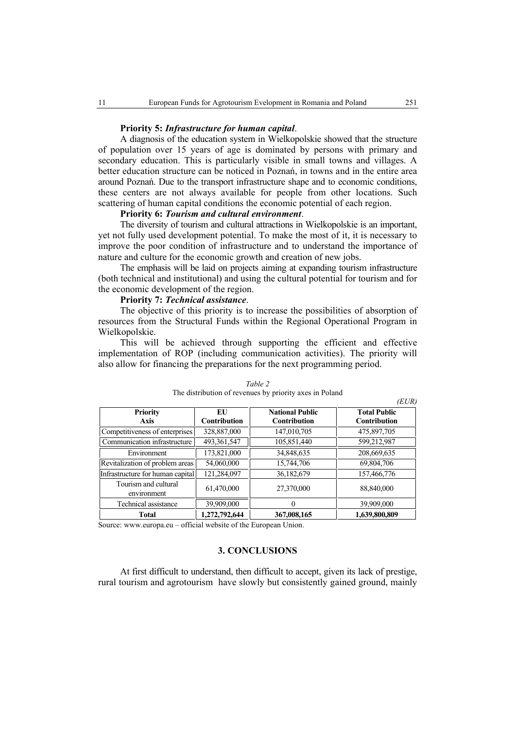#### **Priority 5:** *Infrastructure for human capital*.

A diagnosis of the education system in Wielkopolskie showed that the structure of population over 15 years of age is dominated by persons with primary and secondary education. This is particularly visible in small towns and villages. A better education structure can be noticed in Poznań, in towns and in the entire area around Poznań. Due to the transport infrastructure shape and to economic conditions, these centers are not always available for people from other locations. Such scattering of human capital conditions the economic potential of each region.

## **Priority 6:** *Tourism and cultural environment*.

The diversity of tourism and cultural attractions in Wielkopolskie is an important, yet not fully used development potential. To make the most of it, it is necessary to improve the poor condition of infrastructure and to understand the importance of nature and culture for the economic growth and creation of new jobs.

The emphasis will be laid on projects aiming at expanding tourism infrastructure (both technical and institutional) and using the cultural potential for tourism and for the economic development of the region.

## **Priority 7:** *Technical assistance*.

The objective of this priority is to increase the possibilities of absorption of resources from the Structural Funds within the Regional Operational Program in Wielkopolskie.

This will be achieved through supporting the efficient and effective implementation of ROP (including communication activities). The priority will also allow for financing the preparations for the next programming period.

| <b>Priority</b><br>Axis             | EU<br><b>Contribution</b> | <b>National Public</b><br><b>Contribution</b> | (LUK)<br><b>Total Public</b><br><b>Contribution</b> |
|-------------------------------------|---------------------------|-----------------------------------------------|-----------------------------------------------------|
| Competitiveness of enterprises      | 328,887,000               | 147,010,705                                   | 475,897,705                                         |
| Communication infrastructure        | 493,361,547               | 105,851,440                                   | 599,212,987                                         |
| Environment                         | 173,821,000               | 34,848,635                                    | 208,669,635                                         |
| Revitalization of problem areas     | 54,060,000                | 15,744,706                                    | 69,804,706                                          |
| Infrastructure for human capital    | 121,284,097               | 36,182,679                                    | 157,466,776                                         |
| Tourism and cultural<br>environment | 61,470,000                | 27,370,000                                    | 88,840,000                                          |
| Technical assistance                | 39,909,000                | $_{0}$                                        | 39,909,000                                          |
| Total                               | 1,272,792,644             | 367,008,165                                   | 1,639,800,809                                       |

#### *Table 2*  The distribution of revenues by priority axes in Poland

Source: www.europa.eu – official website of the European Union.

### **3. CONCLUSIONS**

At first difficult to understand, then difficult to accept, given its lack of prestige, rural tourism and agrotourism have slowly but consistently gained ground, mainly

 $(TT)$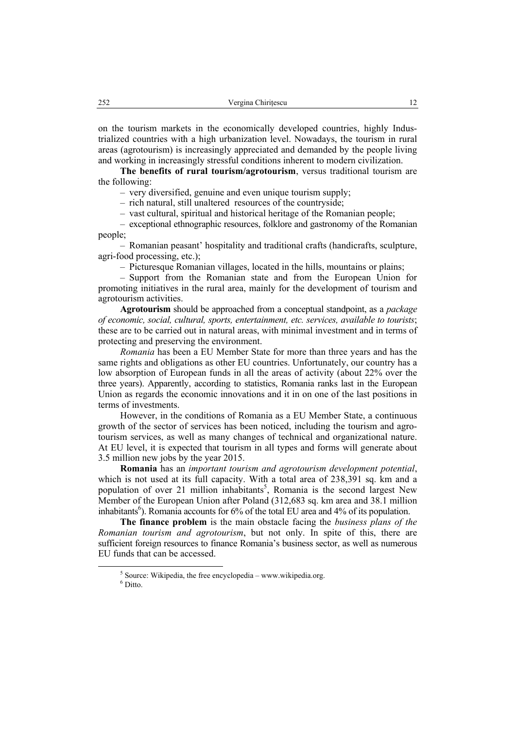on the tourism markets in the economically developed countries, highly Industrialized countries with a high urbanization level. Nowadays, the tourism in rural areas (agrotourism) is increasingly appreciated and demanded by the people living and working in increasingly stressful conditions inherent to modern civilization.

**The benefits of rural tourism/agrotourism**, versus traditional tourism are the following:

– very diversified, genuine and even unique tourism supply;

– rich natural, still unaltered resources of the countryside;

– vast cultural, spiritual and historical heritage of the Romanian people;

– exceptional ethnographic resources, folklore and gastronomy of the Romanian people;

– Romanian peasant' hospitality and traditional crafts (handicrafts, sculpture, agri-food processing, etc.);

– Picturesque Romanian villages, located in the hills, mountains or plains;

– Support from the Romanian state and from the European Union for promoting initiatives in the rural area, mainly for the development of tourism and agrotourism activities.

**Agrotourism** should be approached from a conceptual standpoint, as a *package of economic, social, cultural, sports, entertainment, etc. services, available to tourists*; these are to be carried out in natural areas, with minimal investment and in terms of protecting and preserving the environment.

*Romania* has been a EU Member State for more than three years and has the same rights and obligations as other EU countries. Unfortunately, our country has a low absorption of European funds in all the areas of activity (about 22% over the three years). Apparently, according to statistics, Romania ranks last in the European Union as regards the economic innovations and it in on one of the last positions in terms of investments.

However, in the conditions of Romania as a EU Member State, a continuous growth of the sector of services has been noticed, including the tourism and agrotourism services, as well as many changes of technical and organizational nature. At EU level, it is expected that tourism in all types and forms will generate about 3.5 million new jobs by the year 2015.

**Romania** has an *important tourism and agrotourism development potential*, which is not used at its full capacity. With a total area of 238,391 sq. km and a population of over 21 million inhabitants<sup>5</sup>, Romania is the second largest New Member of the European Union after Poland (312,683 sq. km area and 38.1 million inhabitants<sup>6</sup>). Romania accounts for  $6\%$  of the total EU area and  $4\%$  of its population.

**The finance problem** is the main obstacle facing the *business plans of the Romanian tourism and agrotourism*, but not only. In spite of this, there are sufficient foreign resources to finance Romania's business sector, as well as numerous EU funds that can be accessed.

 $rac{1}{5}$  $5$  Source: Wikipedia, the free encyclopedia – www.wikipedia.org.

<sup>&</sup>lt;sup>6</sup> Ditto.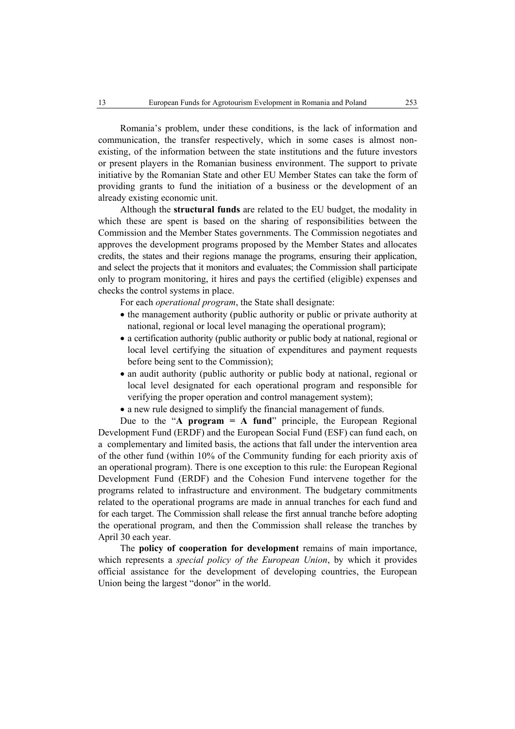Romania's problem, under these conditions, is the lack of information and communication, the transfer respectively, which in some cases is almost nonexisting, of the information between the state institutions and the future investors or present players in the Romanian business environment. The support to private initiative by the Romanian State and other EU Member States can take the form of providing grants to fund the initiation of a business or the development of an already existing economic unit.

Although the **structural funds** are related to the EU budget, the modality in which these are spent is based on the sharing of responsibilities between the Commission and the Member States governments. The Commission negotiates and approves the development programs proposed by the Member States and allocates credits, the states and their regions manage the programs, ensuring their application, and select the projects that it monitors and evaluates; the Commission shall participate only to program monitoring, it hires and pays the certified (eligible) expenses and checks the control systems in place.

For each *operational program*, the State shall designate:

- the management authority (public authority or public or private authority at national, regional or local level managing the operational program);
- a certification authority (public authority or public body at national, regional or local level certifying the situation of expenditures and payment requests before being sent to the Commission);
- an audit authority (public authority or public body at national, regional or local level designated for each operational program and responsible for verifying the proper operation and control management system);

• a new rule designed to simplify the financial management of funds.

Due to the "**A program = A fund**" principle, the European Regional Development Fund (ERDF) and the European Social Fund (ESF) can fund each, on a complementary and limited basis, the actions that fall under the intervention area of the other fund (within 10% of the Community funding for each priority axis of an operational program). There is one exception to this rule: the European Regional Development Fund (ERDF) and the Cohesion Fund intervene together for the programs related to infrastructure and environment. The budgetary commitments related to the operational programs are made in annual tranches for each fund and for each target. The Commission shall release the first annual tranche before adopting the operational program, and then the Commission shall release the tranches by April 30 each year.

The **policy of cooperation for development** remains of main importance, which represents a *special policy of the European Union*, by which it provides official assistance for the development of developing countries, the European Union being the largest "donor" in the world.